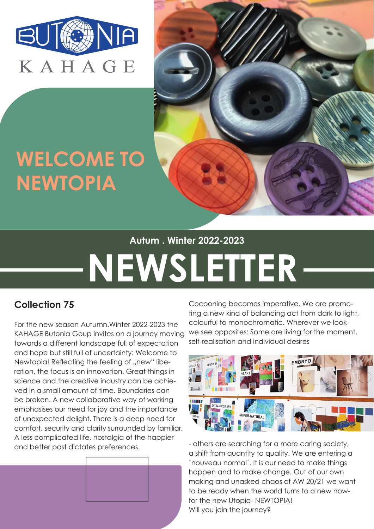

## **WELCOME TO NEWTOPIA**



#### **Autum . Winter 2022-2023**

# **NEWSLETTER**

### **Collection 75**

For the new season Autumn.Winter 2022-2023 the KAHAGE Butonia Goup invites on a journey moving towards a different landscape full of expectation and hope but still full of uncertainty: Welcome to Newtopia! Reflecting the feeling of "new" liberation, the focus is on innovation. Great things in science and the creative industry can be achieved in a small amount of time. Boundaries can be broken. A new collaborative way of working emphasises our need for joy and the importance of unexpected delight. There is a deep need for comfort, security and clarity surrounded by familiar. A less complicated life, nostalgia of the happier and better past dictates preferences.



Cocooning becomes imperative. We are promoting a new kind of balancing act from dark to light, colourful to monochromatic. Wherever we lookwe see opposites: Some are living for the moment, self-realisation and individual desires



- others are searching for a more caring society, a shift from quantity to quality. We are entering a `nouveau normal´. It is our need to make things happen and to make change. Out of our own making and unasked chaos of AW 20/21 we want to be ready when the world turns to a new nowfor the new Utopia- NEWTOPIA! Will you join the journey?